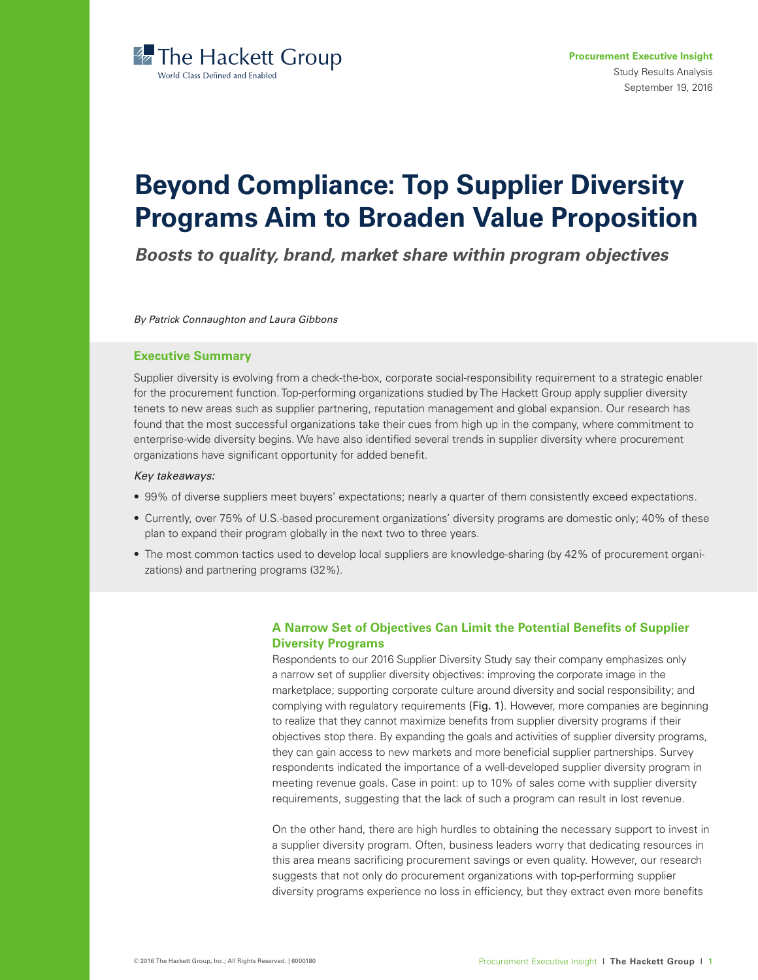

# **Beyond Compliance: Top Supplier Diversity Programs Aim to Broaden Value Proposition**

*Boosts to quality, brand, market share within program objectives*

*By Patrick Connaughton and Laura Gibbons*

## **Executive Summary**

Supplier diversity is evolving from a check-the-box, corporate social-responsibility requirement to a strategic enabler for the procurement function. Top-performing organizations studied by The Hackett Group apply supplier diversity tenets to new areas such as supplier partnering, reputation management and global expansion. Our research has found that the most successful organizations take their cues from high up in the company, where commitment to enterprise-wide diversity begins. We have also identified several trends in supplier diversity where procurement organizations have significant opportunity for added benefit.

#### *Key takeaways:*

- 99% of diverse suppliers meet buyers' expectations; nearly a quarter of them consistently exceed expectations.
- Currently, over 75% of U.S.-based procurement organizations' diversity programs are domestic only; 40% of these plan to expand their program globally in the next two to three years.
- The most common tactics used to develop local suppliers are knowledge-sharing (by 42% of procurement organizations) and partnering programs (32%).

# **A Narrow Set of Objectives Can Limit the Potential Benefits of Supplier Diversity Programs**

Respondents to our 2016 Supplier Diversity Study say their company emphasizes only a narrow set of supplier diversity objectives: improving the corporate image in the marketplace; supporting corporate culture around diversity and social responsibility; and complying with regulatory requirements (Fig. 1). However, more companies are beginning to realize that they cannot maximize benefits from supplier diversity programs if their objectives stop there. By expanding the goals and activities of supplier diversity programs, they can gain access to new markets and more beneficial supplier partnerships. Survey respondents indicated the importance of a well-developed supplier diversity program in meeting revenue goals. Case in point: up to 10% of sales come with supplier diversity requirements, suggesting that the lack of such a program can result in lost revenue.

On the other hand, there are high hurdles to obtaining the necessary support to invest in a supplier diversity program. Often, business leaders worry that dedicating resources in this area means sacrificing procurement savings or even quality. However, our research suggests that not only do procurement organizations with top-performing supplier diversity programs experience no loss in efficiency, but they extract even more benefits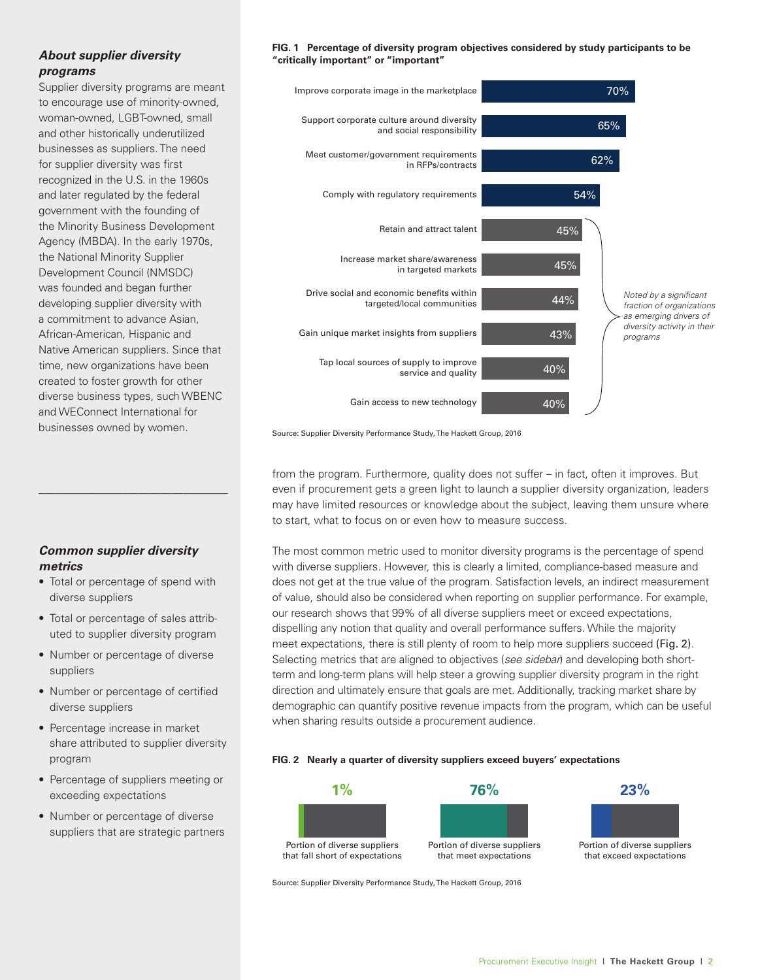# *About supplier diversity programs*

Supplier diversity programs are meant to encourage use of minority-owned, woman-owned, LGBT-owned, small and other historically underutilized businesses as suppliers. The need for supplier diversity was first recognized in the U.S. in the 1960s and later regulated by the federal government with the founding of the Minority Business Development Agency (MBDA). In the early 1970s, the National Minority Supplier Development Council (NMSDC) was founded and began further developing supplier diversity with a commitment to advance Asian, African-American, Hispanic and Native American suppliers. Since that time, new organizations have been created to foster growth for other diverse business types, such WBENC and WEConnect International for businesses owned by women.

# *Common supplier diversity metrics*

\_\_\_\_\_\_\_\_\_\_\_\_\_\_\_\_\_\_\_\_\_\_\_\_\_\_\_\_\_\_\_\_\_\_

- Total or percentage of spend with diverse suppliers
- Total or percentage of sales attributed to supplier diversity program
- Number or percentage of diverse suppliers
- Number or percentage of certified diverse suppliers
- Percentage increase in market share attributed to supplier diversity program
- Percentage of suppliers meeting or exceeding expectations
- Number or percentage of diverse suppliers that are strategic partners





Source: Supplier Diversity Performance Study, The Hackett Group, 2016

from the program. Furthermore, quality does not suffer – in fact, often it improves. But even if procurement gets a green light to launch a supplier diversity organization, leaders may have limited resources or knowledge about the subject, leaving them unsure where to start, what to focus on or even how to measure success.

The most common metric used to monitor diversity programs is the percentage of spend with diverse suppliers. However, this is clearly a limited, compliance-based measure and does not get at the true value of the program. Satisfaction levels, an indirect measurement of value, should also be considered when reporting on supplier performance. For example, our research shows that 99% of all diverse suppliers meet or exceed expectations, dispelling any notion that quality and overall performance suffers. While the majority meet expectations, there is still plenty of room to help more suppliers succeed (Fig. 2). Selecting metrics that are aligned to objectives (*see sidebar*) and developing both shortterm and long-term plans will help steer a growing supplier diversity program in the right direction and ultimately ensure that goals are met. Additionally, tracking market share by demographic can quantify positive revenue impacts from the program, which can be useful when sharing results outside a procurement audience.

#### **FIG. 2 Nearly a quarter of diversity suppliers exceed buyers' expectations**



Source: Supplier Diversity Performance Study, The Hackett Group, 2016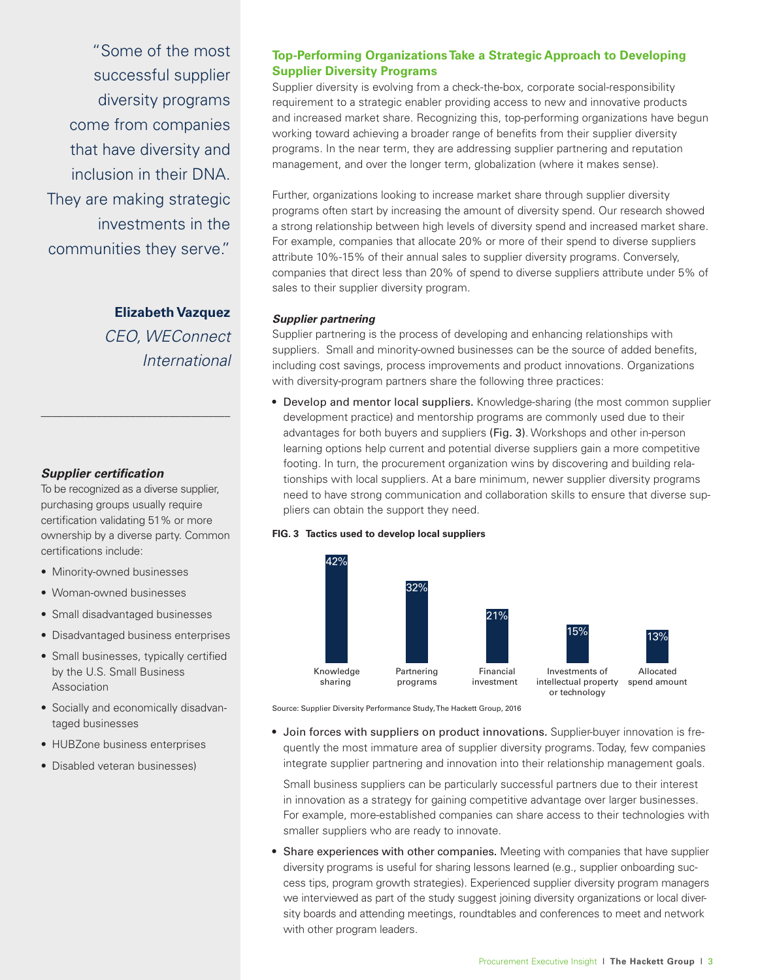"Some of the most successful supplier diversity programs come from companies that have diversity and inclusion in their DNA. They are making strategic investments in the communities they serve."

> **Elizabeth Vazquez** *CEO, WEConnect International*

# *Supplier certification*

To be recognized as a diverse supplier, purchasing groups usually require certification validating 51% or more ownership by a diverse party. Common certifications include:

\_\_\_\_\_\_\_\_\_\_\_\_\_\_\_\_\_\_\_\_\_\_\_\_\_\_\_\_\_\_\_\_\_\_

- Minority-owned businesses
- Woman-owned businesses
- Small disadvantaged businesses
- Disadvantaged business enterprises
- Small businesses, typically certified by the U.S. Small Business Association
- Socially and economically disadvantaged businesses
- HUBZone business enterprises
- Disabled veteran businesses)

# **Top-Performing Organizations Take a Strategic Approach to Developing Supplier Diversity Programs**

Supplier diversity is evolving from a check-the-box, corporate social-responsibility requirement to a strategic enabler providing access to new and innovative products and increased market share. Recognizing this, top-performing organizations have begun working toward achieving a broader range of benefits from their supplier diversity programs. In the near term, they are addressing supplier partnering and reputation management, and over the longer term, globalization (where it makes sense).

Further, organizations looking to increase market share through supplier diversity programs often start by increasing the amount of diversity spend. Our research showed a strong relationship between high levels of diversity spend and increased market share. For example, companies that allocate 20% or more of their spend to diverse suppliers attribute 10%-15% of their annual sales to supplier diversity programs. Conversely, companies that direct less than 20% of spend to diverse suppliers attribute under 5% of sales to their supplier diversity program.

### *Supplier partnering*

Supplier partnering is the process of developing and enhancing relationships with suppliers. Small and minority-owned businesses can be the source of added benefits, including cost savings, process improvements and product innovations. Organizations with diversity-program partners share the following three practices:

• Develop and mentor local suppliers. Knowledge-sharing (the most common supplier development practice) and mentorship programs are commonly used due to their advantages for both buyers and suppliers (Fig. 3). Workshops and other in-person learning options help current and potential diverse suppliers gain a more competitive footing. In turn, the procurement organization wins by discovering and building relationships with local suppliers. At a bare minimum, newer supplier diversity programs need to have strong communication and collaboration skills to ensure that diverse suppliers can obtain the support they need.

#### **FIG. 3 Tactics used to develop local suppliers**



Source: Supplier Diversity Performance Study, The Hackett Group, 2016

• Join forces with suppliers on product innovations. Supplier-buyer innovation is frequently the most immature area of supplier diversity programs. Today, few companies integrate supplier partnering and innovation into their relationship management goals.

Small business suppliers can be particularly successful partners due to their interest in innovation as a strategy for gaining competitive advantage over larger businesses. For example, more-established companies can share access to their technologies with smaller suppliers who are ready to innovate.

• Share experiences with other companies. Meeting with companies that have supplier diversity programs is useful for sharing lessons learned (e.g., supplier onboarding success tips, program growth strategies). Experienced supplier diversity program managers we interviewed as part of the study suggest joining diversity organizations or local diversity boards and attending meetings, roundtables and conferences to meet and network with other program leaders.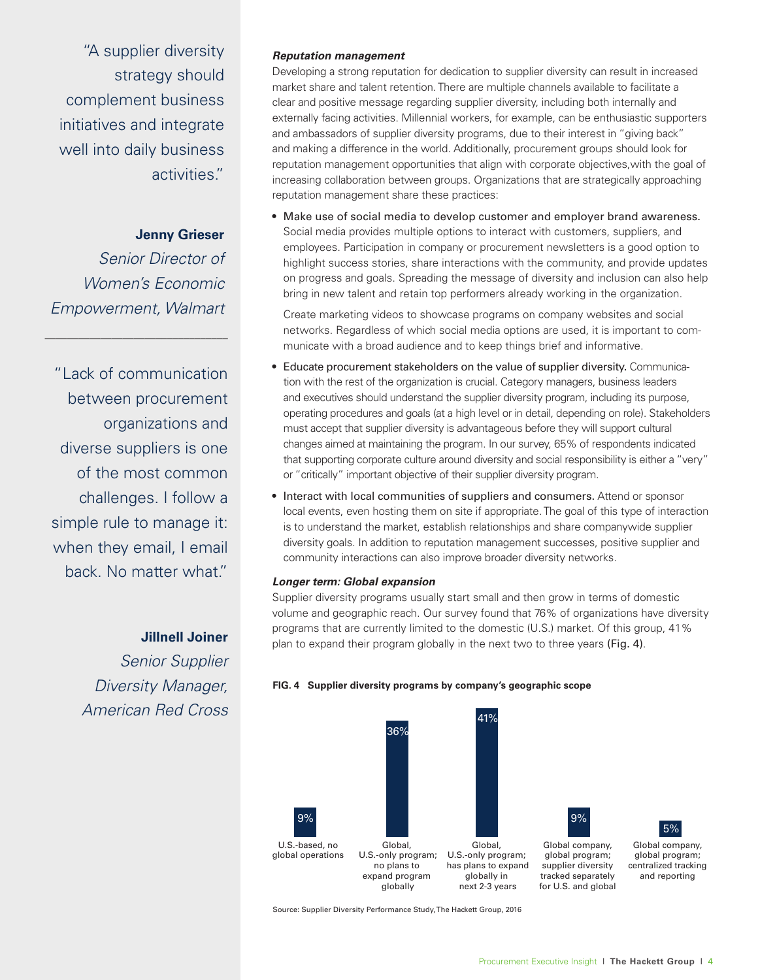"A supplier diversity strategy should complement business initiatives and integrate well into daily business activities."

# **Jenny Grieser**

*Senior Director of Women's Economic Empowerment, Walmart*

\_\_\_\_\_\_\_\_\_\_\_\_\_\_\_\_\_\_\_\_\_\_\_\_\_\_\_\_\_\_\_\_\_

"Lack of communication between procurement organizations and diverse suppliers is one of the most common challenges. I follow a simple rule to manage it: when they email, I email back. No matter what."

 **Jillnell Joiner**

*Senior Supplier Diversity Manager, American Red Cross*

### *Reputation management*

Developing a strong reputation for dedication to supplier diversity can result in increased market share and talent retention. There are multiple channels available to facilitate a clear and positive message regarding supplier diversity, including both internally and externally facing activities. Millennial workers, for example, can be enthusiastic supporters and ambassadors of supplier diversity programs, due to their interest in "giving back" and making a difference in the world. Additionally, procurement groups should look for reputation management opportunities that align with corporate objectives,with the goal of increasing collaboration between groups. Organizations that are strategically approaching reputation management share these practices:

• Make use of social media to develop customer and employer brand awareness. Social media provides multiple options to interact with customers, suppliers, and employees. Participation in company or procurement newsletters is a good option to highlight success stories, share interactions with the community, and provide updates on progress and goals. Spreading the message of diversity and inclusion can also help bring in new talent and retain top performers already working in the organization.

Create marketing videos to showcase programs on company websites and social networks. Regardless of which social media options are used, it is important to communicate with a broad audience and to keep things brief and informative.

- Educate procurement stakeholders on the value of supplier diversity. Communication with the rest of the organization is crucial. Category managers, business leaders and executives should understand the supplier diversity program, including its purpose, operating procedures and goals (at a high level or in detail, depending on role). Stakeholders must accept that supplier diversity is advantageous before they will support cultural changes aimed at maintaining the program. In our survey, 65% of respondents indicated that supporting corporate culture around diversity and social responsibility is either a "very" or "critically" important objective of their supplier diversity program.
- Interact with local communities of suppliers and consumers. Attend or sponsor local events, even hosting them on site if appropriate. The goal of this type of interaction is to understand the market, establish relationships and share companywide supplier diversity goals. In addition to reputation management successes, positive supplier and community interactions can also improve broader diversity networks.

#### *Longer term: Global expansion*

Supplier diversity programs usually start small and then grow in terms of domestic volume and geographic reach. Our survey found that 76% of organizations have diversity programs that are currently limited to the domestic (U.S.) market. Of this group, 41% plan to expand their program globally in the next two to three years (Fig. 4).



**FIG. 4 Supplier diversity programs by company's geographic scope**

Source: Supplier Diversity Performance Study, The Hackett Group, 2016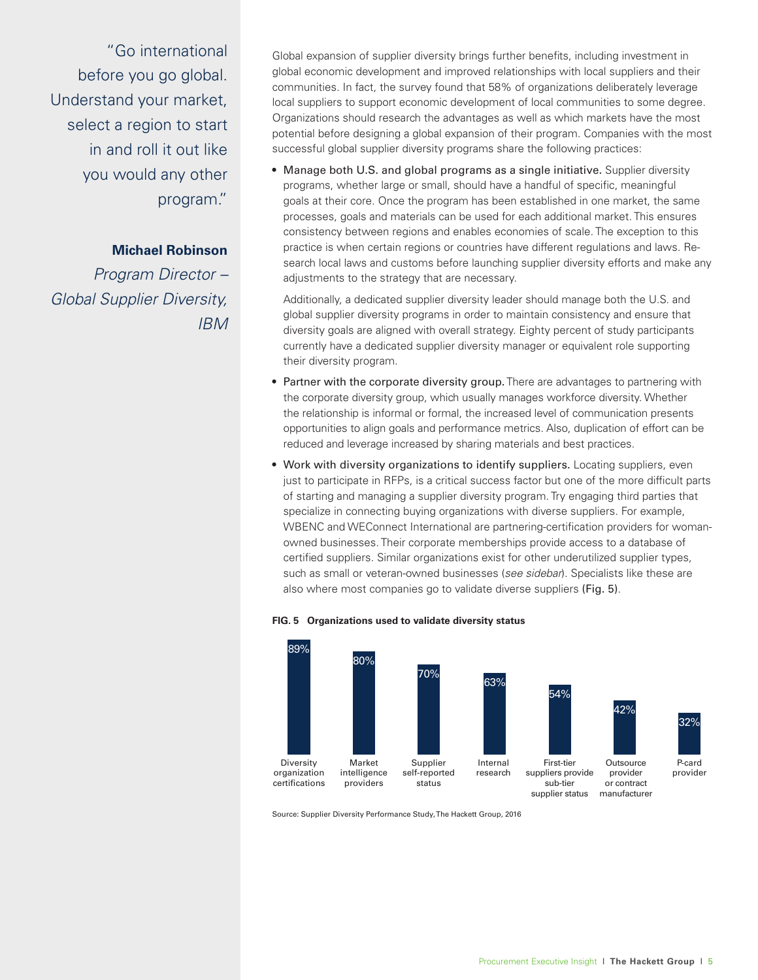"Go international before you go global. Understand your market, select a region to start in and roll it out like you would any other program."

# **Michael Robinson**

*Program Director – Global Supplier Diversity, IBM*

Global expansion of supplier diversity brings further benefits, including investment in global economic development and improved relationships with local suppliers and their communities. In fact, the survey found that 58% of organizations deliberately leverage local suppliers to support economic development of local communities to some degree. Organizations should research the advantages as well as which markets have the most potential before designing a global expansion of their program. Companies with the most successful global supplier diversity programs share the following practices:

• Manage both U.S. and global programs as a single initiative. Supplier diversity programs, whether large or small, should have a handful of specific, meaningful goals at their core. Once the program has been established in one market, the same processes, goals and materials can be used for each additional market. This ensures consistency between regions and enables economies of scale. The exception to this practice is when certain regions or countries have different regulations and laws. Research local laws and customs before launching supplier diversity efforts and make any adjustments to the strategy that are necessary.

Additionally, a dedicated supplier diversity leader should manage both the U.S. and global supplier diversity programs in order to maintain consistency and ensure that diversity goals are aligned with overall strategy. Eighty percent of study participants currently have a dedicated supplier diversity manager or equivalent role supporting their diversity program.

- Partner with the corporate diversity group. There are advantages to partnering with the corporate diversity group, which usually manages workforce diversity. Whether the relationship is informal or formal, the increased level of communication presents opportunities to align goals and performance metrics. Also, duplication of effort can be reduced and leverage increased by sharing materials and best practices.
- Work with diversity organizations to identify suppliers. Locating suppliers, even just to participate in RFPs, is a critical success factor but one of the more difficult parts of starting and managing a supplier diversity program. Try engaging third parties that specialize in connecting buying organizations with diverse suppliers. For example, WBENC and WEConnect International are partnering-certification providers for womanowned businesses. Their corporate memberships provide access to a database of certified suppliers. Similar organizations exist for other underutilized supplier types, such as small or veteran-owned businesses (*see sidebar*). Specialists like these are also where most companies go to validate diverse suppliers (Fig. 5).





Source: Supplier Diversity Performance Study, The Hackett Group, 2016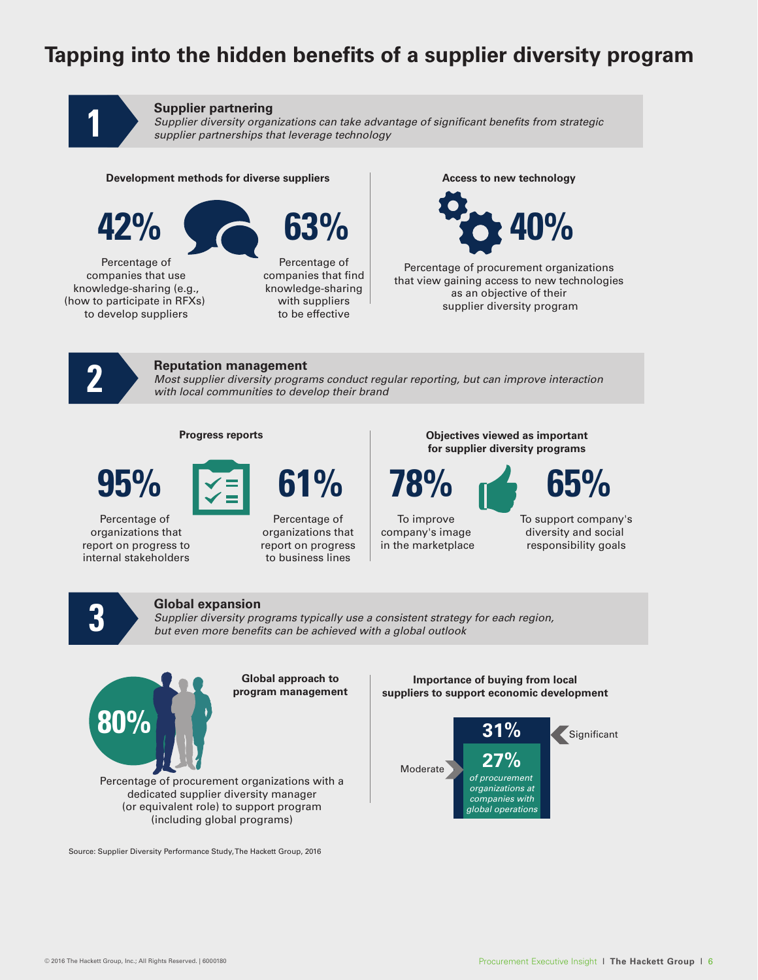# **Tapping into the hidden benefits of a supplier diversity program**



# **Supplier partnering**

*Supplier diversity organizations can take advantage of significant benefits from strategic supplier partnerships that leverage technology* 

#### **Development methods for diverse suppliers**



Percentage of companies that use knowledge-sharing (e.g., (how to participate in RFXs) to develop suppliers



Percentage of companies that find knowledge-sharing with suppliers to be effective

**Access to new technology** 



Percentage of procurement organizations that view gaining access to new technologies as an objective of their supplier diversity program



# **Reputation management**

*Most supplier diversity programs conduct regular reporting, but can improve interaction with local communities to develop their brand*



Percentage of organizations that report on progress to internal stakeholders



Percentage of organizations that report on progress to business lines

**Progress reports Objectives viewed as important for supplier diversity programs**



To improve company's image in the marketplace To support company's diversity and social

responsibility goals

# **Global expansion**

*Supplier diversity programs typically use a consistent strategy for each region,* **3** *but even more benefits can be achieved with a global outlook*



**Global approach to program management**

#### **Importance of buying from local suppliers to support economic development**



Source: Supplier Diversity Performance Study, The Hackett Group, 2016

dedicated supplier diversity manager (or equivalent role) to support program (including global programs)